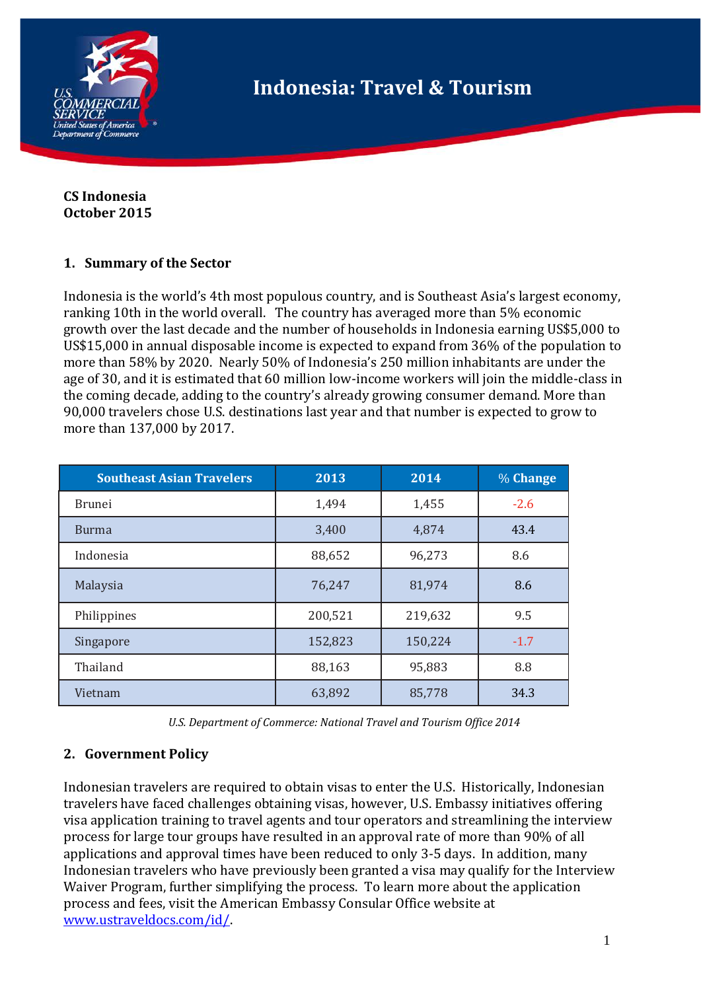

**CS Indonesia October 2015**

#### **1. Summary of the Sector**

Indonesia is the world's 4th most populous country, and is Southeast Asia's largest economy, ranking 10th in the world overall. The country has averaged more than 5% economic growth over the last decade and the number of households in Indonesia earning US\$5,000 to US\$15,000 in annual disposable income is expected to expand from 36% of the population to more than 58% by 2020. Nearly 50% of Indonesia's 250 million inhabitants are under the age of 30, and it is estimated that 60 million low-income workers will join the middle-class in the coming decade, adding to the country's already growing consumer demand. More than 90,000 travelers chose U.S. destinations last year and that number is expected to grow to more than 137,000 by 2017.

| <b>Southeast Asian Travelers</b> | 2013    | 2014    | $%$ Change |
|----------------------------------|---------|---------|------------|
| Brunei                           | 1,494   | 1,455   | $-2.6$     |
| <b>Burma</b>                     | 3,400   | 4,874   | 43.4       |
| Indonesia                        | 88,652  | 96,273  | 8.6        |
| Malaysia                         | 76,247  | 81,974  | 8.6        |
| Philippines                      | 200,521 | 219,632 | 9.5        |
| Singapore                        | 152,823 | 150,224 | $-1.7$     |
| Thailand                         | 88,163  | 95,883  | 8.8        |
| Vietnam                          | 63,892  | 85,778  | 34.3       |

| U.S. Department of Commerce: National Travel and Tourism Office 2014 |  |  |  |  |  |
|----------------------------------------------------------------------|--|--|--|--|--|
|----------------------------------------------------------------------|--|--|--|--|--|

## **2. Government Policy**

Indonesian travelers are required to obtain visas to enter the U.S. Historically, Indonesian travelers have faced challenges obtaining visas, however, U.S. Embassy initiatives offering visa application training to travel agents and tour operators and streamlining the interview process for large tour groups have resulted in an approval rate of more than 90% of all applications and approval times have been reduced to only 3-5 days. In addition, many Indonesian travelers who have previously been granted a visa may qualify for the Interview Waiver Program, further simplifying the process. To learn more about the application process and fees, visit the American Embassy Consular Office website at [www.ustraveldocs.com/id/.](http://www.ustraveldocs.com/id/)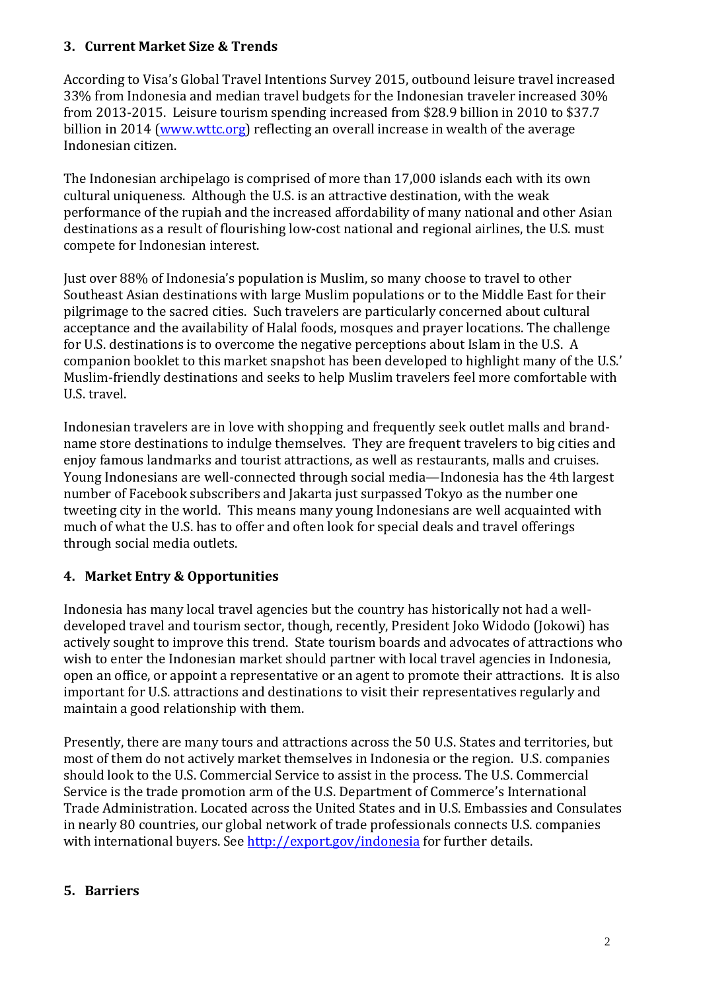## **3. Current Market Size & Trends**

According to Visa's Global Travel Intentions Survey 2015, outbound leisure travel increased 33% from Indonesia and median travel budgets for the Indonesian traveler increased 30% from 2013-2015. Leisure tourism spending increased from \$28.9 billion in 2010 to \$37.7 billion in 2014 [\(www.wttc.org\)](http://www.wttc.org/) reflecting an overall increase in wealth of the average Indonesian citizen.

The Indonesian archipelago is comprised of more than 17,000 islands each with its own cultural uniqueness. Although the U.S. is an attractive destination, with the weak performance of the rupiah and the increased affordability of many national and other Asian destinations as a result of flourishing low-cost national and regional airlines, the U.S. must compete for Indonesian interest.

Just over 88% of Indonesia's population is Muslim, so many choose to travel to other Southeast Asian destinations with large Muslim populations or to the Middle East for their pilgrimage to the sacred cities. Such travelers are particularly concerned about cultural acceptance and the availability of Halal foods, mosques and prayer locations. The challenge for U.S. destinations is to overcome the negative perceptions about Islam in the U.S. A companion booklet to this market snapshot has been developed to highlight many of the U.S.' Muslim-friendly destinations and seeks to help Muslim travelers feel more comfortable with U.S. travel.

Indonesian travelers are in love with shopping and frequently seek outlet malls and brandname store destinations to indulge themselves. They are frequent travelers to big cities and enjoy famous landmarks and tourist attractions, as well as restaurants, malls and cruises. Young Indonesians are well-connected through social media—Indonesia has the 4th largest number of Facebook subscribers and Jakarta just surpassed Tokyo as the number one tweeting city in the world. This means many young Indonesians are well acquainted with much of what the U.S. has to offer and often look for special deals and travel offerings through social media outlets.

# **4. Market Entry & Opportunities**

Indonesia has many local travel agencies but the country has historically not had a welldeveloped travel and tourism sector, though, recently, President Joko Widodo (Jokowi) has actively sought to improve this trend. State tourism boards and advocates of attractions who wish to enter the Indonesian market should partner with local travel agencies in Indonesia, open an office, or appoint a representative or an agent to promote their attractions. It is also important for U.S. attractions and destinations to visit their representatives regularly and maintain a good relationship with them.

Presently, there are many tours and attractions across the 50 U.S. States and territories, but most of them do not actively market themselves in Indonesia or the region. U.S. companies should look to the U.S. Commercial Service to assist in the process. The U.S. Commercial Service is the trade promotion arm of the U.S. Department of Commerce's International Trade Administration. Located across the United States and in U.S. Embassies and Consulates in nearly 80 countries, our global network of trade professionals connects U.S. companies with international buyers. See <http://export.gov/indonesia> for further details.

# **5. Barriers**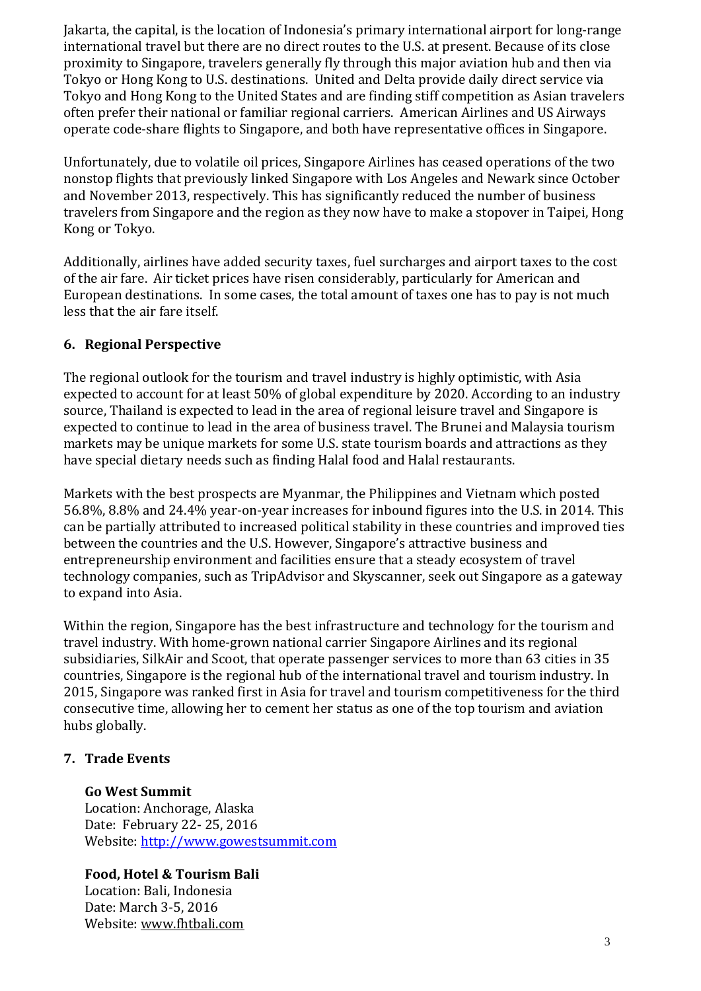Jakarta, the capital, is the location of Indonesia's primary international airport for long-range international travel but there are no direct routes to the U.S. at present. Because of its close proximity to Singapore, travelers generally fly through this major aviation hub and then via Tokyo or Hong Kong to U.S. destinations. United and Delta provide daily direct service via Tokyo and Hong Kong to the United States and are finding stiff competition as Asian travelers often prefer their national or familiar regional carriers. American Airlines and US Airways operate code-share flights to Singapore, and both have representative offices in Singapore.

Unfortunately, due to volatile oil prices, Singapore Airlines has ceased operations of the two nonstop flights that previously linked Singapore with Los Angeles and Newark since October and November 2013, respectively. This has significantly reduced the number of business travelers from Singapore and the region as they now have to make a stopover in Taipei, Hong Kong or Tokyo.

Additionally, airlines have added security taxes, fuel surcharges and airport taxes to the cost of the air fare. Air ticket prices have risen considerably, particularly for American and European destinations. In some cases, the total amount of taxes one has to pay is not much less that the air fare itself.

## **6. Regional Perspective**

The regional outlook for the tourism and travel industry is highly optimistic, with Asia expected to account for at least 50% of global expenditure by 2020. According to an industry source, Thailand is expected to lead in the area of regional leisure travel and Singapore is expected to continue to lead in the area of business travel. The Brunei and Malaysia tourism markets may be unique markets for some U.S. state tourism boards and attractions as they have special dietary needs such as finding Halal food and Halal restaurants.

Markets with the best prospects are Myanmar, the Philippines and Vietnam which posted 56.8%, 8.8% and 24.4% year-on-year increases for inbound figures into the U.S. in 2014. This can be partially attributed to increased political stability in these countries and improved ties between the countries and the U.S. However, Singapore's attractive business and entrepreneurship environment and facilities ensure that a steady ecosystem of travel technology companies, such as TripAdvisor and Skyscanner, seek out Singapore as a gateway to expand into Asia.

Within the region, Singapore has the best infrastructure and technology for the tourism and travel industry. With home-grown national carrier Singapore Airlines and its regional subsidiaries, SilkAir and Scoot, that operate passenger services to more than 63 cities in 35 countries, Singapore is the regional hub of the international travel and tourism industry. In 2015, Singapore was ranked first in Asia for travel and tourism competitiveness for the third consecutive time, allowing her to cement her status as one of the top tourism and aviation hubs globally.

## **7. Trade Events**

## **Go West Summit**

Location: Anchorage, Alaska Date: February 22- 25, 2016 Website: [http://www.gowestsummit.com](http://www.itb-asia.com/)

## **Food, Hotel & Tourism Bali**

Location: Bali, Indonesia Date: March 3-5, 2016 Website: [www.fhtbali.com](http://www.fhtbali.com/)